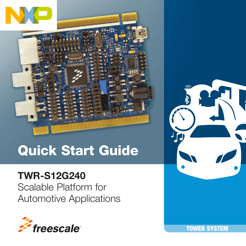

# Quick Start Guide

### TWR-S12G240

Scalable Platform for Automotive Applications





TOWER SYSTEM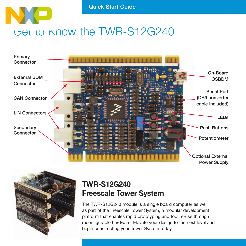

### Get to Know the TWR-S12G240





#### TWR-S12G240 Freescale Tower System

The TWR-S12G240 module is a single board computer as well as part of the Freescale Tower System, a modular development platform that enables rapid prototyping and tool re-use through reconfigurable hardware. Elevate your design to the next level and begin constructing your Tower System today.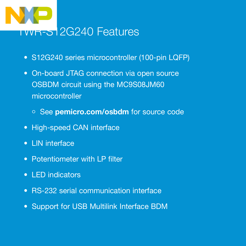

- S12G240 series microcontroller (100-pin LQFP)
- On-board JTAG connection via open source OSBDM circuit using the MC9S08JM60 microcontroller
	- o See pemicro.com/osbdm for source code
- High-speed CAN interface
- LIN interface
- Potentiometer with LP filter
- LED indicators
- RS-232 serial communication interface
- Support for USB Multilink Interface BDM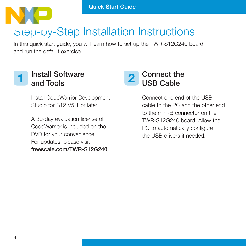

## Step-by-Step Installation Instructions

In this quick start guide, you will learn how to set up the TWR-S12G240 board and run the default exercise.



#### 1 Install Software 2 and Tools

Install CodeWarrior Development Studio for S12 V5.1 or later

A 30-day evaluation license of CodeWarrior is included on the DVD for your convenience. For updates, please visit freescale.com/TWR-S12G240.



Connect one end of the USB cable to the PC and the other end to the mini-B connector on the TWR-S12G240 board. Allow the PC to automatically configure the USB drivers if needed.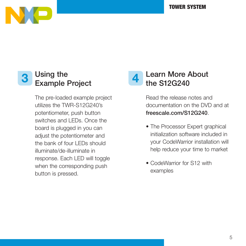

#### Using the 3 Using the eroject 4

The pre-loaded example project utilizes the TWR-S12G240's potentiometer, push button switches and LEDs. Once the board is plugged in you can adjust the potentiometer and the bank of four LEDs should illuminate/de-illuminate in response. Each LED will toggle when the corresponding push button is pressed.

#### Learn More About the S12G240

Read the release notes and documentation on the DVD and at freescale.com/S12G240.

- The Processor Expert graphical initialization software included in your CodeWarrior installation will help reduce your time to market
- CodeWarrior for S12 with examples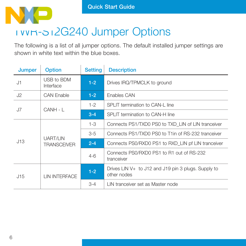

### TWR-S12G240 Jumper Options

The following is a list of all jumper options. The default installed jumper settings are shown in white text within the blue boxes.

| <b>Jumper</b> | <b>Option</b>                  | <b>Setting</b> | <b>Description</b>                                                 |
|---------------|--------------------------------|----------------|--------------------------------------------------------------------|
| J1            | USB to BDM<br>Interface        | $1 - 2$        | Drives IRQ/TPMCLK to ground                                        |
| J2            | <b>CAN Fnable</b>              | $1 - 2$        | Fnables CAN                                                        |
| J7            | CANH - I                       | $1 - 2$        | SPLIT termination to CAN-L line                                    |
|               |                                | $3 - 4$        | SPI IT termination to CAN-H line                                   |
| J13           | UART/LIN<br><b>TRANSCEIVER</b> | $1 - 3$        | Connects PS1/TXD0 PS0 to TXD LIN of LIN tranceiver                 |
|               |                                | $3-5$          | Connects PS1/TXD0 PS0 to T1in of RS-232 tranceiver                 |
|               |                                | $2 - 4$        | Connects PS0/RXD0 PS1 to RXD LIN pf LIN tranceiver                 |
|               |                                | $4 - 6$        | Connects PS0/RXD0 PS1 to R1 out of RS-232<br>tranceiver            |
| J15           | <b>I IN INTERFACE</b>          | $1 - 2$        | Drives LIN V+ to J12 and J19 pin 3 plugs. Supply to<br>other nodes |
|               |                                | $3 - 4$        | I IN tranceiver set as Master node                                 |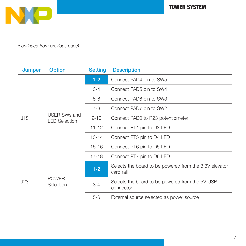

(continued from previous page)

| Jumper | <b>Option</b>                               | <b>Setting</b> | <b>Description</b>                                                  |
|--------|---------------------------------------------|----------------|---------------------------------------------------------------------|
| J18    | <b>USER SWs and</b><br><b>LED Selection</b> | $1-2$          | Connect PAD4 pin to SW5                                             |
|        |                                             | $3 - 4$        | Connect PAD5 pin to SW4                                             |
|        |                                             | $5-6$          | Connect PAD6 pin to SW3                                             |
|        |                                             | $7 - 8$        | Connect PAD7 pin to SW2                                             |
|        |                                             | $9 - 10$       | Connect PAD0 to R23 potentiometer                                   |
|        |                                             | $11 - 12$      | Connect PT4 pin to D3 LED                                           |
|        |                                             | $13 - 14$      | Connect PT5 pin to D4 LED                                           |
|        |                                             | $15 - 16$      | Connect PT6 pin to D5 LED                                           |
|        |                                             | $17 - 18$      | Connect PT7 pin to D6 LED                                           |
| J23    | <b>POWFR</b><br>Selection                   | $1-2$          | Selects the board to be powered from the 3.3V elevator<br>card rail |
|        |                                             | $3 - 4$        | Selects the board to be powered from the 5V USB<br>connector        |
|        |                                             | $5-6$          | External source selected as power source                            |